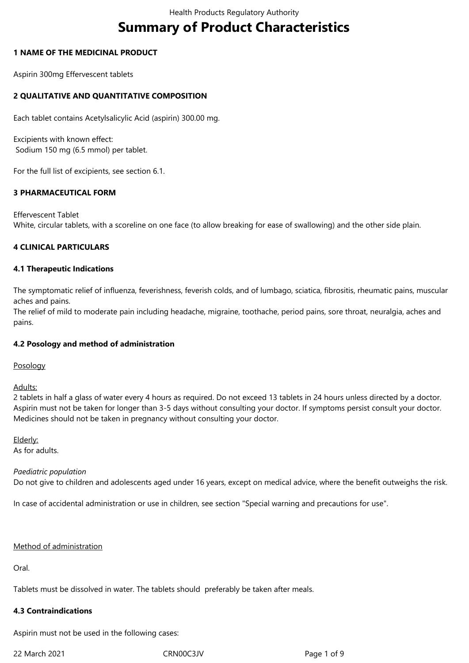# **Summary of Product Characteristics**

#### **1 NAME OF THE MEDICINAL PRODUCT**

Aspirin 300mg Effervescent tablets

# **2 QUALITATIVE AND QUANTITATIVE COMPOSITION**

Each tablet contains Acetylsalicylic Acid (aspirin) 300.00 mg.

Excipients with known effect: Sodium 150 mg (6.5 mmol) per tablet.

For the full list of excipients, see section 6.1.

# **3 PHARMACEUTICAL FORM**

Effervescent Tablet White, circular tablets, with a scoreline on one face (to allow breaking for ease of swallowing) and the other side plain.

## **4 CLINICAL PARTICULARS**

## **4.1 Therapeutic Indications**

The symptomatic relief of influenza, feverishness, feverish colds, and of lumbago, sciatica, fibrositis, rheumatic pains, muscular aches and pains.

The relief of mild to moderate pain including headache, migraine, toothache, period pains, sore throat, neuralgia, aches and pains.

#### **4.2 Posology and method of administration**

Posology

Adults:

2 tablets in half a glass of water every 4 hours as required. Do not exceed 13 tablets in 24 hours unless directed by a doctor. Aspirin must not be taken for longer than 3-5 days without consulting your doctor. If symptoms persist consult your doctor. Medicines should not be taken in pregnancy without consulting your doctor.

Elderly: As for adults.

#### *Paediatric population*

Do not give to children and adolescents aged under 16 years, except on medical advice, where the benefit outweighs the risk.

In case of accidental administration or use in children, see section "Special warning and precautions for use".

#### Method of administration

Oral.

Tablets must be dissolved in water. The tablets should preferably be taken after meals.

#### **4.3 Contraindications**

Aspirin must not be used in the following cases:

22 March 2021 CRN00C3JV Page 1 of 9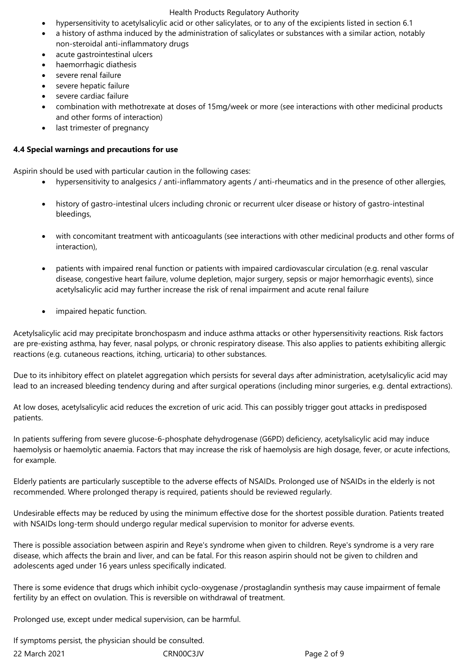#### Health Products Regulatory Authority

- hypersensitivity to acetylsalicylic acid or other salicylates, or to any of the excipients listed in section 6.1
- a history of asthma induced by the administration of salicylates or substances with a similar action, notably non-steroidal anti-inflammatory drugs
- acute gastrointestinal ulcers
- haemorrhagic diathesis
- severe renal failure
- severe hepatic failure
- severe cardiac failure
- combination with methotrexate at doses of 15mg/week or more (see interactions with other medicinal products and other forms of interaction)
- last trimester of pregnancy

#### **4.4 Special warnings and precautions for use**

Aspirin should be used with particular caution in the following cases:

- hypersensitivity to analgesics / anti-inflammatory agents / anti-rheumatics and in the presence of other allergies,
- history of gastro-intestinal ulcers including chronic or recurrent ulcer disease or history of gastro-intestinal bleedings,
- with concomitant treatment with anticoagulants (see interactions with other medicinal products and other forms of interaction),
- patients with impaired renal function or patients with impaired cardiovascular circulation (e.g. renal vascular disease, congestive heart failure, volume depletion, major surgery, sepsis or major hemorrhagic events), since acetylsalicylic acid may further increase the risk of renal impairment and acute renal failure
- impaired hepatic function.

Acetylsalicylic acid may precipitate bronchospasm and induce asthma attacks or other hypersensitivity reactions. Risk factors are pre-existing asthma, hay fever, nasal polyps, or chronic respiratory disease. This also applies to patients exhibiting allergic reactions (e.g. cutaneous reactions, itching, urticaria) to other substances.

Due to its inhibitory effect on platelet aggregation which persists for several days after administration, acetylsalicylic acid may lead to an increased bleeding tendency during and after surgical operations (including minor surgeries, e.g. dental extractions).

At low doses, acetylsalicylic acid reduces the excretion of uric acid. This can possibly trigger gout attacks in predisposed patients.

In patients suffering from severe glucose-6-phosphate dehydrogenase (G6PD) deficiency, acetylsalicylic acid may induce haemolysis or haemolytic anaemia. Factors that may increase the risk of haemolysis are high dosage, fever, or acute infections, for example.

Elderly patients are particularly susceptible to the adverse effects of NSAIDs. Prolonged use of NSAIDs in the elderly is not recommended. Where prolonged therapy is required, patients should be reviewed regularly.

Undesirable effects may be reduced by using the minimum effective dose for the shortest possible duration. Patients treated with NSAIDs long-term should undergo regular medical supervision to monitor for adverse events.

There is possible association between aspirin and Reye's syndrome when given to children. Reye's syndrome is a very rare disease, which affects the brain and liver, and can be fatal. For this reason aspirin should not be given to children and adolescents aged under 16 years unless specifically indicated.

There is some evidence that drugs which inhibit cyclo-oxygenase /prostaglandin synthesis may cause impairment of female fertility by an effect on ovulation. This is reversible on withdrawal of treatment.

Prolonged use, except under medical supervision, can be harmful.

22 March 2021 CRN00C3JV Page 2 of 9 If symptoms persist, the physician should be consulted.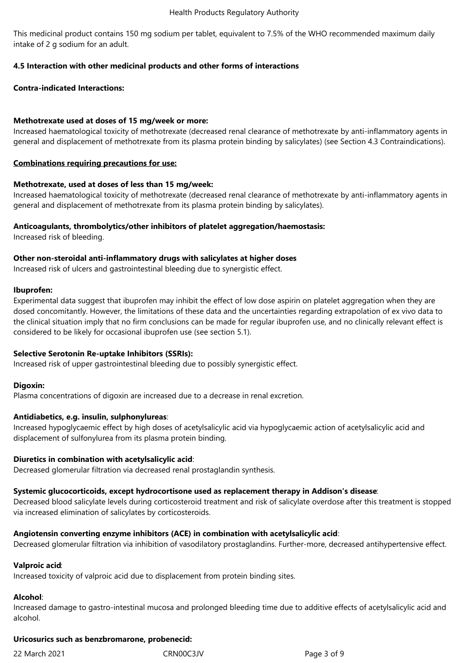This medicinal product contains 150 mg sodium per tablet, equivalent to 7.5% of the WHO recommended maximum daily intake of 2 g sodium for an adult.

# **4.5 Interaction with other medicinal products and other forms of interactions**

# **Contra-indicated Interactions:**

## **Methotrexate used at doses of 15 mg/week or more:**

Increased haematological toxicity of methotrexate (decreased renal clearance of methotrexate by anti-inflammatory agents in general and displacement of methotrexate from its plasma protein binding by salicylates) (see Section 4.3 Contraindications).

#### **Combinations requiring precautions for use:**

## **Methotrexate, used at doses of less than 15 mg/week:**

Increased haematological toxicity of methotrexate (decreased renal clearance of methotrexate by anti‑inflammatory agents in general and displacement of methotrexate from its plasma protein binding by salicylates).

## **Anticoagulants, thrombolytics/other inhibitors of platelet aggregation/haemostasis:**

Increased risk of bleeding.

## **Other non‑steroidal anti‑inflammatory drugs with salicylates at higher doses**

Increased risk of ulcers and gastrointestinal bleeding due to synergistic effect.

#### **Ibuprofen:**

Experimental data suggest that ibuprofen may inhibit the effect of low dose aspirin on platelet aggregation when they are dosed concomitantly. However, the limitations of these data and the uncertainties regarding extrapolation of ex vivo data to the clinical situation imply that no firm conclusions can be made for regular ibuprofen use, and no clinically relevant effect is considered to be likely for occasional ibuprofen use (see section 5.1).

#### **Selective Serotonin Re-uptake Inhibitors (SSRIs):**

Increased risk of upper gastrointestinal bleeding due to possibly synergistic effect.

#### **Digoxin:**

Plasma concentrations of digoxin are increased due to a decrease in renal excretion.

# **Antidiabetics, e.g. insulin, sulphonylureas**:

Increased hypoglycaemic effect by high doses of acetylsalicylic acid via hypoglycaemic action of acetylsalicylic acid and displacement of sulfonylurea from its plasma protein binding.

#### **Diuretics in combination with acetylsalicylic acid**:

Decreased glomerular filtration via decreased renal prostaglandin synthesis.

#### **Systemic glucocorticoids, except hydrocortisone used as replacement therapy in Addison's disease**:

Decreased blood salicylate levels during corticosteroid treatment and risk of salicylate overdose after this treatment is stopped via increased elimination of salicylates by corticosteroids.

#### **Angiotensin converting enzyme inhibitors (ACE) in combination with acetylsalicylic acid**:

Decreased glomerular filtration via inhibition of vasodilatory prostaglandins. Further-more, decreased antihypertensive effect.

#### **Valproic acid**:

Increased toxicity of valproic acid due to displacement from protein binding sites.

#### **Alcohol**:

Increased damage to gastro-intestinal mucosa and prolonged bleeding time due to additive effects of acetylsalicylic acid and alcohol.

#### **Uricosurics such as benzbromarone, probenecid:**

22 March 2021 CRN00C3JV Page 3 of 9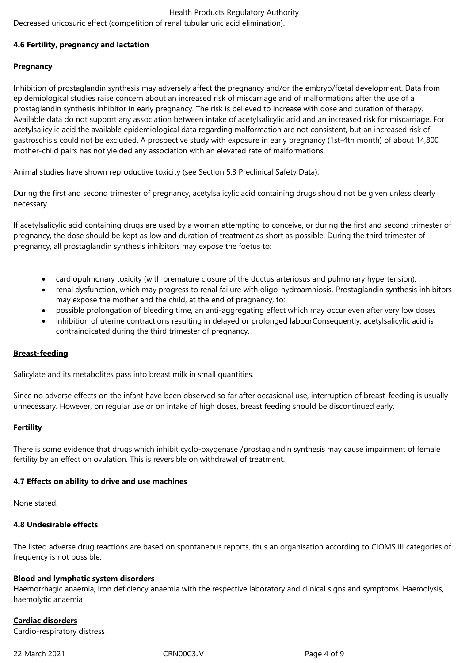# Health Products Regulatory Authority Decreased uricosuric effect (competition of renal tubular uric acid elimination).

# **4.6 Fertility, pregnancy and lactation**

# **Pregnancy**

Inhibition of prostaglandin synthesis may adversely affect the pregnancy and/or the embryo/fœtal development. Data from epidemiological studies raise concern about an increased risk of miscarriage and of malformations after the use of a prostaglandin synthesis inhibitor in early pregnancy. The risk is believed to increase with dose and duration of therapy. Available data do not support any association between intake of acetylsalicylic acid and an increased risk for miscarriage. For acetylsalicylic acid the available epidemiological data regarding malformation are not consistent, but an increased risk of gastroschisis could not be excluded. A prospective study with exposure in early pregnancy (1st-4th month) of about 14,800 mother-child pairs has not yielded any association with an elevated rate of malformations.

Animal studies have shown reproductive toxicity (see Section 5.3 Preclinical Safety Data).

During the first and second trimester of pregnancy, acetylsalicylic acid containing drugs should not be given unless clearly necessary.

If acetylsalicylic acid containing drugs are used by a woman attempting to conceive, or during the first and second trimester of pregnancy, the dose should be kept as low and duration of treatment as short as possible. During the third trimester of pregnancy, all prostaglandin synthesis inhibitors may expose the foetus to:

- cardiopulmonary toxicity (with premature closure of the ductus arteriosus and pulmonary hypertension);
- renal dysfunction, which may progress to renal failure with oligo-hydroamniosis. Prostaglandin synthesis inhibitors may expose the mother and the child, at the end of pregnancy, to:
- possible prolongation of bleeding time, an anti-aggregating effect which may occur even after very low doses
- inhibition of uterine contractions resulting in delayed or prolonged labourConsequently, acetylsalicylic acid is contraindicated during the third trimester of pregnancy.

#### **Breast-feeding**

Salicylate and its metabolites pass into breast milk in small quantities.

Since no adverse effects on the infant have been observed so far after occasional use, interruption of breast-feeding is usually unnecessary. However, on regular use or on intake of high doses, breast feeding should be discontinued early.

# **Fertility**

There is some evidence that drugs which inhibit cyclo-oxygenase /prostaglandin synthesis may cause impairment of female fertility by an effect on ovulation. This is reversible on withdrawal of treatment.

#### **4.7 Effects on ability to drive and use machines**

None stated.

#### **4.8 Undesirable effects**

The listed adverse drug reactions are based on spontaneous reports, thus an organisation according to CIOMS III categories of frequency is not possible.

#### **Blood and lymphatic system disorders**

Haemorrhagic anaemia, iron deficiency anaemia with the respective laboratory and clinical signs and symptoms. Haemolysis, haemolytic anaemia

# **Cardiac disorders**

Cardio-respiratory distress

22 March 2021 CRN00C3JV Page 4 of 9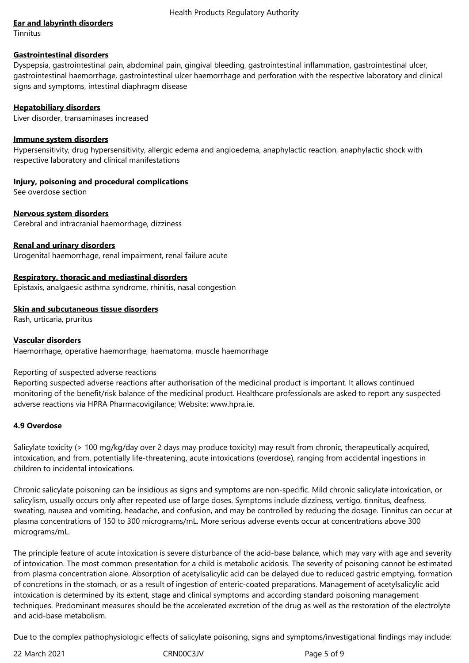#### Health Products Regulatory Authority

## **Ear and labyrinth disorders**

**Tinnitus** 

#### **Gastrointestinal disorders**

Dyspepsia, gastrointestinal pain, abdominal pain, gingival bleeding, gastrointestinal inflammation, gastrointestinal ulcer, gastrointestinal haemorrhage, gastrointestinal ulcer haemorrhage and perforation with the respective laboratory and clinical signs and symptoms, intestinal diaphragm disease

## **Hepatobiliary disorders**

Liver disorder, transaminases increased

#### **Immune system disorders**

Hypersensitivity, drug hypersensitivity, allergic edema and angioedema, anaphylactic reaction, anaphylactic shock with respective laboratory and clinical manifestations

# **Injury, poisoning and procedural complications**

See overdose section

## **Nervous system disorders**

Cerebral and intracranial haemorrhage, dizziness

## **Renal and urinary disorders**

Urogenital haemorrhage, renal impairment, renal failure acute

## **Respiratory, thoracic and mediastinal disorders**

Epistaxis, analgaesic asthma syndrome, rhinitis, nasal congestion

## **Skin and subcutaneous tissue disorders**

Rash, urticaria, pruritus

# **Vascular disorders**

Haemorrhage, operative haemorrhage, haematoma, muscle haemorrhage

#### Reporting of suspected adverse reactions

Reporting suspected adverse reactions after authorisation of the medicinal product is important. It allows continued monitoring of the benefit/risk balance of the medicinal product. Healthcare professionals are asked to report any suspected adverse reactions via HPRA Pharmacovigilance; Website: www.hpra.ie.

#### **4.9 Overdose**

Salicylate toxicity (> 100 mg/kg/day over 2 days may produce toxicity) may result from chronic, therapeutically acquired, intoxication, and from, potentially life-threatening, acute intoxications (overdose), ranging from accidental ingestions in children to incidental intoxications.

Chronic salicylate poisoning can be insidious as signs and symptoms are non-specific. Mild chronic salicylate intoxication, or salicylism, usually occurs only after repeated use of large doses. Symptoms include dizziness, vertigo, tinnitus, deafness, sweating, nausea and vomiting, headache, and confusion, and may be controlled by reducing the dosage. Tinnitus can occur at plasma concentrations of 150 to 300 micrograms/mL. More serious adverse events occur at concentrations above 300 micrograms/mL.

The principle feature of acute intoxication is severe disturbance of the acid-base balance, which may vary with age and severity of intoxication. The most common presentation for a child is metabolic acidosis. The severity of poisoning cannot be estimated from plasma concentration alone. Absorption of acetylsalicylic acid can be delayed due to reduced gastric emptying, formation of concretions in the stomach, or as a result of ingestion of enteric-coated preparations. Management of acetylsalicylic acid intoxication is determined by its extent, stage and clinical symptoms and according standard poisoning management techniques. Predominant measures should be the accelerated excretion of the drug as well as the restoration of the electrolyte and acid-base metabolism.

Due to the complex pathophysiologic effects of salicylate poisoning, signs and symptoms/investigational findings may include: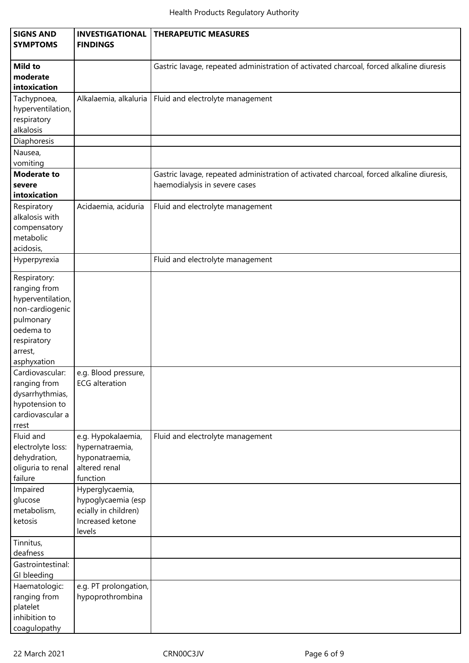| <b>SIGNS AND</b><br><b>SYMPTOMS</b>                                                                                                     | <b>INVESTIGATIONAL</b><br><b>FINDINGS</b>                                                   | <b>THERAPEUTIC MEASURES</b>                                                                                               |  |  |  |
|-----------------------------------------------------------------------------------------------------------------------------------------|---------------------------------------------------------------------------------------------|---------------------------------------------------------------------------------------------------------------------------|--|--|--|
| <b>Mild to</b><br>moderate<br>intoxication                                                                                              |                                                                                             | Gastric lavage, repeated administration of activated charcoal, forced alkaline diuresis                                   |  |  |  |
| Tachypnoea,<br>hyperventilation,<br>respiratory<br>alkalosis                                                                            | Alkalaemia, alkaluria                                                                       | Fluid and electrolyte management                                                                                          |  |  |  |
| Diaphoresis<br>Nausea,                                                                                                                  |                                                                                             |                                                                                                                           |  |  |  |
| vomiting<br><b>Moderate to</b><br>severe<br>intoxication                                                                                |                                                                                             | Gastric lavage, repeated administration of activated charcoal, forced alkaline diuresis,<br>haemodialysis in severe cases |  |  |  |
| Respiratory<br>alkalosis with<br>compensatory<br>metabolic<br>acidosis,                                                                 | Acidaemia, aciduria                                                                         | Fluid and electrolyte management                                                                                          |  |  |  |
| Hyperpyrexia                                                                                                                            |                                                                                             | Fluid and electrolyte management                                                                                          |  |  |  |
| Respiratory:<br>ranging from<br>hyperventilation,<br>non-cardiogenic<br>pulmonary<br>oedema to<br>respiratory<br>arrest,<br>asphyxation |                                                                                             |                                                                                                                           |  |  |  |
| Cardiovascular:<br>ranging from<br>dysarrhythmias,<br>hypotension to<br>cardiovascular a<br>rrest                                       | e.g. Blood pressure,<br><b>ECG</b> alteration                                               |                                                                                                                           |  |  |  |
| Fluid and<br>electrolyte loss:<br>dehydration,<br>oliguria to renal<br>failure                                                          | e.g. Hypokalaemia,<br>hypernatraemia,<br>hyponatraemia,<br>altered renal<br>function        | Fluid and electrolyte management                                                                                          |  |  |  |
| Impaired<br>glucose<br>metabolism,<br>ketosis                                                                                           | Hyperglycaemia,<br>hypoglycaemia (esp<br>ecially in children)<br>Increased ketone<br>levels |                                                                                                                           |  |  |  |
| Tinnitus,<br>deafness                                                                                                                   |                                                                                             |                                                                                                                           |  |  |  |
| Gastrointestinal:<br>GI bleeding                                                                                                        |                                                                                             |                                                                                                                           |  |  |  |
| Haematologic:<br>ranging from<br>platelet<br>inhibition to<br>coagulopathy                                                              | e.g. PT prolongation,<br>hypoprothrombina                                                   |                                                                                                                           |  |  |  |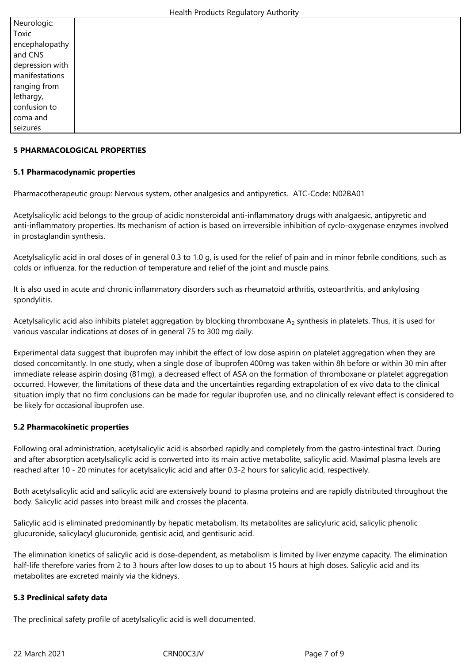| Neurologic:     |  |  |  |
|-----------------|--|--|--|
| Toxic           |  |  |  |
| encephalopathy  |  |  |  |
| and CNS         |  |  |  |
| depression with |  |  |  |
| manifestations  |  |  |  |
| ranging from    |  |  |  |
| lethargy,       |  |  |  |
| confusion to    |  |  |  |
| coma and        |  |  |  |
| seizures        |  |  |  |

#### **5 PHARMACOLOGICAL PROPERTIES**

## **5.1 Pharmacodynamic properties**

Pharmacotherapeutic group: Nervous system, other analgesics and antipyretics. ATC-Code: N02BA01

Acetylsalicylic acid belongs to the group of acidic nonsteroidal anti-inflammatory drugs with analgaesic, antipyretic and anti-inflammatory properties. Its mechanism of action is based on irreversible inhibition of cyclo-oxygenase enzymes involved in prostaglandin synthesis.

Acetylsalicylic acid in oral doses of in general 0.3 to 1.0 g, is used for the relief of pain and in minor febrile conditions, such as colds or influenza, for the reduction of temperature and relief of the joint and muscle pains.

It is also used in acute and chronic inflammatory disorders such as rheumatoid arthritis, osteoarthritis, and ankylosing spondylitis.

Acetylsalicylic acid also inhibits platelet aggregation by blocking thromboxane  $A_2$  synthesis in platelets. Thus, it is used for various vascular indications at doses of in general 75 to 300 mg daily.

Experimental data suggest that ibuprofen may inhibit the effect of low dose aspirin on platelet aggregation when they are dosed concomitantly. In one study, when a single dose of ibuprofen 400mg was taken within 8h before or within 30 min after immediate release aspirin dosing (81mg), a decreased effect of ASA on the formation of thromboxane or platelet aggregation occurred. However, the limitations of these data and the uncertainties regarding extrapolation of ex vivo data to the clinical situation imply that no firm conclusions can be made for regular ibuprofen use, and no clinically relevant effect is considered to be likely for occasional ibuprofen use.

# **5.2 Pharmacokinetic properties**

Following oral administration, acetylsalicylic acid is absorbed rapidly and completely from the gastro-intestinal tract. During and after absorption acetylsalicylic acid is converted into its main active metabolite, salicylic acid. Maximal plasma levels are reached after 10 - 20 minutes for acetylsalicylic acid and after 0.3-2 hours for salicylic acid, respectively.

Both acetylsalicylic acid and salicylic acid are extensively bound to plasma proteins and are rapidly distributed throughout the body. Salicylic acid passes into breast milk and crosses the placenta.

Salicylic acid is eliminated predominantly by hepatic metabolism. Its metabolites are salicyluric acid, salicylic phenolic glucuronide, salicylacyl glucuronide, gentisic acid, and gentisuric acid.

The elimination kinetics of salicylic acid is dose-dependent, as metabolism is limited by liver enzyme capacity. The elimination half-life therefore varies from 2 to 3 hours after low doses to up to about 15 hours at high doses. Salicylic acid and its metabolites are excreted mainly via the kidneys.

#### **5.3 Preclinical safety data**

The preclinical safety profile of acetylsalicylic acid is well documented.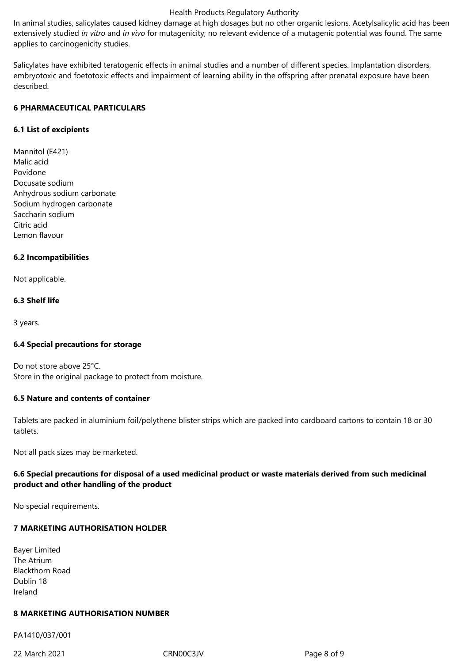#### Health Products Regulatory Authority

In animal studies, salicylates caused kidney damage at high dosages but no other organic lesions. Acetylsalicylic acid has been extensively studied *in vitro* and *in vivo* for mutagenicity; no relevant evidence of a mutagenic potential was found. The same applies to carcinogenicity studies.

Salicylates have exhibited teratogenic effects in animal studies and a number of different species. Implantation disorders, embryotoxic and foetotoxic effects and impairment of learning ability in the offspring after prenatal exposure have been described.

## **6 PHARMACEUTICAL PARTICULARS**

## **6.1 List of excipients**

Mannitol (E421) Malic acid Povidone Docusate sodium Anhydrous sodium carbonate Sodium hydrogen carbonate Saccharin sodium Citric acid Lemon flavour

## **6.2 Incompatibilities**

Not applicable.

## **6.3 Shelf life**

3 years.

#### **6.4 Special precautions for storage**

Do not store above 25°C. Store in the original package to protect from moisture.

# **6.5 Nature and contents of container**

Tablets are packed in aluminium foil/polythene blister strips which are packed into cardboard cartons to contain 18 or 30 tablets.

Not all pack sizes may be marketed.

# **6.6 Special precautions for disposal of a used medicinal product or waste materials derived from such medicinal product and other handling of the product**

No special requirements.

# **7 MARKETING AUTHORISATION HOLDER**

Bayer Limited The Atrium Blackthorn Road Dublin 18 Ireland

# **8 MARKETING AUTHORISATION NUMBER**

PA1410/037/001

22 March 2021 CRN00C3JV Page 8 of 9